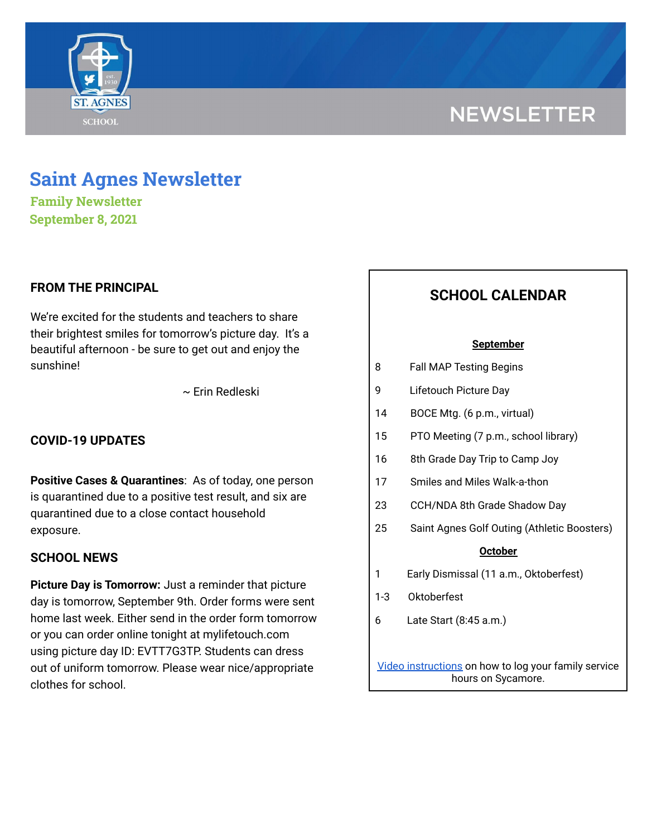# **NEWSLETTER**



**Family Newsletter September 8, 2021**

## **FROM THE PRINCIPAL**

We're excited for the students and teachers to share their brightest smiles for tomorrow's picture day. It's a beautiful afternoon - be sure to get out and enjoy the sunshine!

~ Erin Redleski

## **COVID-19 UPDATES**

**Positive Cases & Quarantines**: As of today, one person is quarantined due to a positive test result, and six are quarantined due to a close contact household exposure.

### **SCHOOL NEWS**

**Picture Day is Tomorrow:** Just a reminder that picture day is tomorrow, September 9th. Order forms were sent home last week. Either send in the order form tomorrow or you can order online tonight at mylifetouch.com using picture day ID: EVTT7G3TP. Students can dress out of uniform tomorrow. Please wear nice/appropriate clothes for school.

# **SCHOOL CALENDAR**

#### **September**

| 8 | <b>Fall MAP Testing Begins</b> |  |  |
|---|--------------------------------|--|--|
|---|--------------------------------|--|--|

- 9 Lifetouch Picture Day
- 14 BOCE Mtg. (6 p.m., virtual)
- 15 PTO Meeting (7 p.m., school library)
- 16 8th Grade Day Trip to Camp Joy
- 17 Smiles and Miles Walk-a-thon
- 23 CCH/NDA 8th Grade Shadow Day
- 25 Saint Agnes Golf Outing (Athletic Boosters)

#### **October**

- 1 Early Dismissal (11 a.m., Oktoberfest)
- 1-3 Oktoberfest
- 6 Late Start (8:45 a.m.)

Video [instructions](https://drive.google.com/file/d/1cmYj9N-NF2btSiiG8QdTD20q2RJRpwk7/view?usp=sharing) on how to log your family service hours on Sycamore.

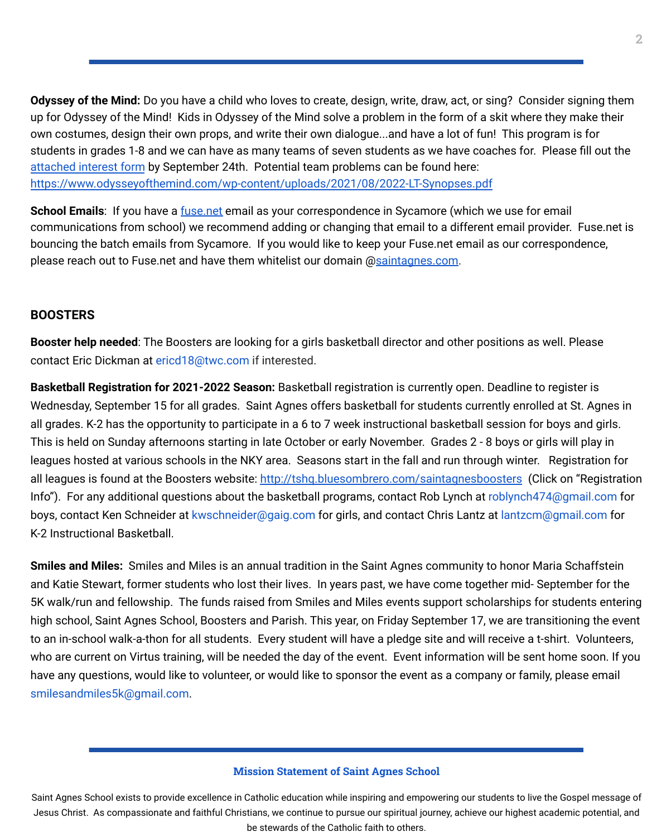**Odyssey of the Mind:** Do you have a child who loves to create, design, write, draw, act, or sing? Consider signing them up for Odyssey of the Mind! Kids in Odyssey of the Mind solve a problem in the form of a skit where they make their own costumes, design their own props, and write their own dialogue...and have a lot of fun! This program is for students in grades 1-8 and we can have as many teams of seven students as we have coaches for. Please fill out the [attached](https://school.saintagnes.com/wp-content/uploads/2021/09/2021-Interest-Form-OM.pdf) interest form by September 24th. Potential team problems can be found here: <https://www.odysseyofthemind.com/wp-content/uploads/2021/08/2022-LT-Synopses.pdf>

**School Emails**: If you have a [fuse.net](http://fuse.net/) email as your correspondence in Sycamore (which we use for email communications from school) we recommend adding or changing that email to a different email provider. Fuse.net is bouncing the batch emails from Sycamore. If you would like to keep your Fuse.net email as our correspondence, please reach out to Fuse.net and have them whitelist our domain @[saintagnes.com.](http://saintagnes.com/)

# **BOOSTERS**

**Booster help needed**: The Boosters are looking for a girls basketball director and other positions as well. Please contact Eric Dickman at ericd18@twc.com if interested.

**Basketball Registration for 2021-2022 Season:** Basketball registration is currently open. Deadline to register is Wednesday, September 15 for all grades. Saint Agnes offers basketball for students currently enrolled at St. Agnes in all grades. K-2 has the opportunity to participate in a 6 to 7 week instructional basketball session for boys and girls. This is held on Sunday afternoons starting in late October or early November. Grades 2 - 8 boys or girls will play in leagues hosted at various schools in the NKY area. Seasons start in the fall and run through winter. Registration for all leagues is found at the Boosters website: [http://tshq.bluesombrero.com/saintagnesboosters](https://urldefense.com/v3/__http:/tshq.bluesombrero.com/saintagnesboosters__;!!CsmrWXz9mOkSc4Hdn1fjj00!kHApvHlF-qTDyFF0uqUvT4URmQ4V13G9s2IVn6UEFeBIs9u27oKcSoL3n4kZC1VR$) (Click on "Registration Info"). For any additional questions about the basketball programs, contact Rob Lynch at roblynch474@gmail.com for boys, contact Ken Schneider at kwschneider@gaig.com for girls, and contact Chris Lantz at lantzcm@gmail.com for K-2 Instructional Basketball.

**Smiles and Miles:** Smiles and Miles is an annual tradition in the Saint Agnes community to honor Maria Schaffstein and Katie Stewart, former students who lost their lives. In years past, we have come together mid- September for the 5K walk/run and fellowship. The funds raised from Smiles and Miles events support scholarships for students entering high school, Saint Agnes School, Boosters and Parish. This year, on Friday September 17, we are transitioning the event to an in-school walk-a-thon for all students. Every student will have a pledge site and will receive a t-shirt. Volunteers, who are current on Virtus training, will be needed the day of the event. Event information will be sent home soon. If you have any questions, would like to volunteer, or would like to sponsor the event as a company or family, please email smilesandmiles5k@gmail.com.

#### **Mission Statement of Saint Agnes School**

Saint Agnes School exists to provide excellence in Catholic education while inspiring and empowering our students to live the Gospel message of Jesus Christ. As compassionate and faithful Christians, we continue to pursue our spiritual journey, achieve our highest academic potential, and be stewards of the Catholic faith to others.